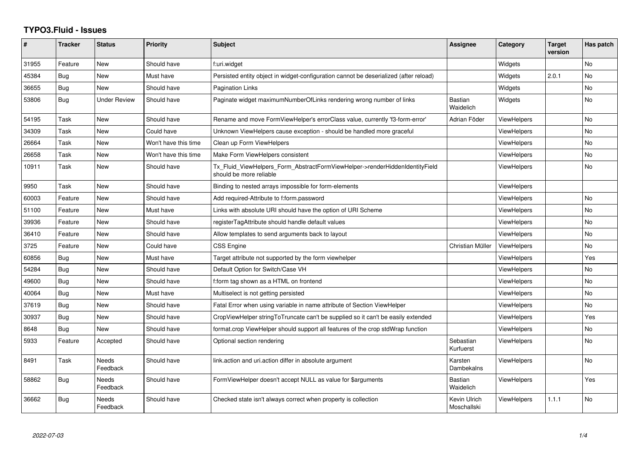## **TYPO3.Fluid - Issues**

| ∦     | <b>Tracker</b> | <b>Status</b>       | <b>Priority</b>      | <b>Subject</b>                                                                                         | <b>Assignee</b>              | Category           | <b>Target</b><br>version | Has patch |
|-------|----------------|---------------------|----------------------|--------------------------------------------------------------------------------------------------------|------------------------------|--------------------|--------------------------|-----------|
| 31955 | Feature        | <b>New</b>          | Should have          | f:uri.widget                                                                                           |                              | Widgets            |                          | <b>No</b> |
| 45384 | Bug            | New                 | Must have            | Persisted entity object in widget-configuration cannot be deserialized (after reload)                  |                              | Widgets            | 2.0.1                    | <b>No</b> |
| 36655 | Bug            | New                 | Should have          | <b>Pagination Links</b>                                                                                |                              | Widgets            |                          | <b>No</b> |
| 53806 | Bug            | <b>Under Review</b> | Should have          | Paginate widget maximumNumberOfLinks rendering wrong number of links                                   | <b>Bastian</b><br>Waidelich  | Widgets            |                          | No        |
| 54195 | Task           | New                 | Should have          | Rename and move FormViewHelper's errorClass value, currently 'f3-form-error'                           | Adrian Föder                 | <b>ViewHelpers</b> |                          | No        |
| 34309 | Task           | New                 | Could have           | Unknown ViewHelpers cause exception - should be handled more graceful                                  |                              | <b>ViewHelpers</b> |                          | <b>No</b> |
| 26664 | Task           | New                 | Won't have this time | Clean up Form ViewHelpers                                                                              |                              | <b>ViewHelpers</b> |                          | No        |
| 26658 | Task           | New                 | Won't have this time | Make Form ViewHelpers consistent                                                                       |                              | <b>ViewHelpers</b> |                          | No        |
| 10911 | Task           | New                 | Should have          | Tx_Fluid_ViewHelpers_Form_AbstractFormViewHelper->renderHiddenIdentityField<br>should be more reliable |                              | ViewHelpers        |                          | <b>No</b> |
| 9950  | Task           | New                 | Should have          | Binding to nested arrays impossible for form-elements                                                  |                              | ViewHelpers        |                          |           |
| 60003 | Feature        | New                 | Should have          | Add required-Attribute to f:form.password                                                              |                              | <b>ViewHelpers</b> |                          | No        |
| 51100 | Feature        | New                 | Must have            | Links with absolute URI should have the option of URI Scheme                                           |                              | ViewHelpers        |                          | <b>No</b> |
| 39936 | Feature        | New                 | Should have          | registerTagAttribute should handle default values                                                      |                              | <b>ViewHelpers</b> |                          | <b>No</b> |
| 36410 | Feature        | New                 | Should have          | Allow templates to send arguments back to layout                                                       |                              | <b>ViewHelpers</b> |                          | No        |
| 3725  | Feature        | <b>New</b>          | Could have           | <b>CSS Engine</b>                                                                                      | Christian Müller             | ViewHelpers        |                          | <b>No</b> |
| 60856 | Bug            | New                 | Must have            | Target attribute not supported by the form viewhelper                                                  |                              | <b>ViewHelpers</b> |                          | Yes       |
| 54284 | Bug            | New                 | Should have          | Default Option for Switch/Case VH                                                                      |                              | ViewHelpers        |                          | <b>No</b> |
| 49600 | Bug            | New                 | Should have          | f:form tag shown as a HTML on frontend                                                                 |                              | <b>ViewHelpers</b> |                          | No        |
| 40064 | Bug            | New                 | Must have            | Multiselect is not getting persisted                                                                   |                              | <b>ViewHelpers</b> |                          | <b>No</b> |
| 37619 | Bug            | New                 | Should have          | Fatal Error when using variable in name attribute of Section ViewHelper                                |                              | <b>ViewHelpers</b> |                          | No        |
| 30937 | Bug            | <b>New</b>          | Should have          | CropViewHelper stringToTruncate can't be supplied so it can't be easily extended                       |                              | <b>ViewHelpers</b> |                          | Yes       |
| 8648  | Bug            | New                 | Should have          | format.crop ViewHelper should support all features of the crop stdWrap function                        |                              | <b>ViewHelpers</b> |                          | No        |
| 5933  | Feature        | Accepted            | Should have          | Optional section rendering                                                                             | Sebastian<br>Kurfuerst       | ViewHelpers        |                          | <b>No</b> |
| 8491  | Task           | Needs<br>Feedback   | Should have          | link.action and uri.action differ in absolute argument                                                 | Karsten<br><b>Dambekalns</b> | <b>ViewHelpers</b> |                          | No        |
| 58862 | Bug            | Needs<br>Feedback   | Should have          | FormViewHelper doesn't accept NULL as value for \$arguments                                            | Bastian<br>Waidelich         | <b>ViewHelpers</b> |                          | Yes       |
| 36662 | Bug            | Needs<br>Feedback   | Should have          | Checked state isn't always correct when property is collection                                         | Kevin Ulrich<br>Moschallski  | <b>ViewHelpers</b> | 1.1.1                    | <b>No</b> |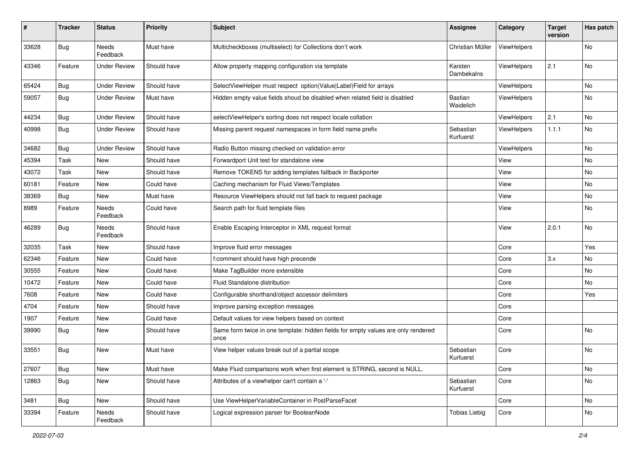| $\vert$ # | <b>Tracker</b> | <b>Status</b>       | <b>Priority</b> | <b>Subject</b>                                                                            | <b>Assignee</b>             | Category    | <b>Target</b><br>version | Has patch |
|-----------|----------------|---------------------|-----------------|-------------------------------------------------------------------------------------------|-----------------------------|-------------|--------------------------|-----------|
| 33628     | Bug            | Needs<br>Feedback   | Must have       | Multicheckboxes (multiselect) for Collections don't work                                  | Christian Müller            | ViewHelpers |                          | No        |
| 43346     | Feature        | <b>Under Review</b> | Should have     | Allow property mapping configuration via template                                         | Karsten<br>Dambekalns       | ViewHelpers | 2.1                      | No        |
| 65424     | Bug            | <b>Under Review</b> | Should have     | SelectViewHelper must respect option(Value Label)Field for arrays                         |                             | ViewHelpers |                          | No        |
| 59057     | Bug            | <b>Under Review</b> | Must have       | Hidden empty value fields shoud be disabled when related field is disabled                | <b>Bastian</b><br>Waidelich | ViewHelpers |                          | No        |
| 44234     | Bug            | <b>Under Review</b> | Should have     | selectViewHelper's sorting does not respect locale collation                              |                             | ViewHelpers | 2.1                      | <b>No</b> |
| 40998     | <b>Bug</b>     | <b>Under Review</b> | Should have     | Missing parent request namespaces in form field name prefix                               | Sebastian<br>Kurfuerst      | ViewHelpers | 1.1.1                    | No        |
| 34682     | Bug            | <b>Under Review</b> | Should have     | Radio Button missing checked on validation error                                          |                             | ViewHelpers |                          | No        |
| 45394     | Task           | New                 | Should have     | Forwardport Unit test for standalone view                                                 |                             | View        |                          | No        |
| 43072     | Task           | New                 | Should have     | Remove TOKENS for adding templates fallback in Backporter                                 |                             | View        |                          | No        |
| 60181     | Feature        | <b>New</b>          | Could have      | Caching mechanism for Fluid Views/Templates                                               |                             | View        |                          | No.       |
| 38369     | Bug            | New                 | Must have       | Resource ViewHelpers should not fall back to request package                              |                             | View        |                          | No        |
| 8989      | Feature        | Needs<br>Feedback   | Could have      | Search path for fluid template files                                                      |                             | View        |                          | No        |
| 46289     | Bug            | Needs<br>Feedback   | Should have     | Enable Escaping Interceptor in XML request format                                         |                             | View        | 2.0.1                    | <b>No</b> |
| 32035     | Task           | New                 | Should have     | Improve fluid error messages                                                              |                             | Core        |                          | Yes       |
| 62346     | Feature        | New                 | Could have      | f:comment should have high precende                                                       |                             | Core        | 3.x                      | No        |
| 30555     | Feature        | New                 | Could have      | Make TagBuilder more extensible                                                           |                             | Core        |                          | No        |
| 10472     | Feature        | New                 | Could have      | Fluid Standalone distribution                                                             |                             | Core        |                          | No        |
| 7608      | Feature        | New                 | Could have      | Configurable shorthand/object accessor delimiters                                         |                             | Core        |                          | Yes       |
| 4704      | Feature        | New                 | Should have     | Improve parsing exception messages                                                        |                             | Core        |                          |           |
| 1907      | Feature        | New                 | Could have      | Default values for view helpers based on context                                          |                             | Core        |                          |           |
| 39990     | Bug            | New                 | Should have     | Same form twice in one template: hidden fields for empty values are only rendered<br>once |                             | Core        |                          | No        |
| 33551     | Bug            | New                 | Must have       | View helper values break out of a partial scope                                           | Sebastian<br>Kurfuerst      | Core        |                          | No        |
| 27607     | Bug            | New                 | Must have       | Make Fluid comparisons work when first element is STRING, second is NULL.                 |                             | Core        |                          | No        |
| 12863     | <b>Bug</b>     | New                 | Should have     | Attributes of a viewhelper can't contain a '-'                                            | Sebastian<br>Kurfuerst      | Core        |                          | No        |
| 3481      | Bug            | New                 | Should have     | Use ViewHelperVariableContainer in PostParseFacet                                         |                             | Core        |                          | No        |
| 33394     | Feature        | Needs<br>Feedback   | Should have     | Logical expression parser for BooleanNode                                                 | <b>Tobias Liebig</b>        | Core        |                          | No        |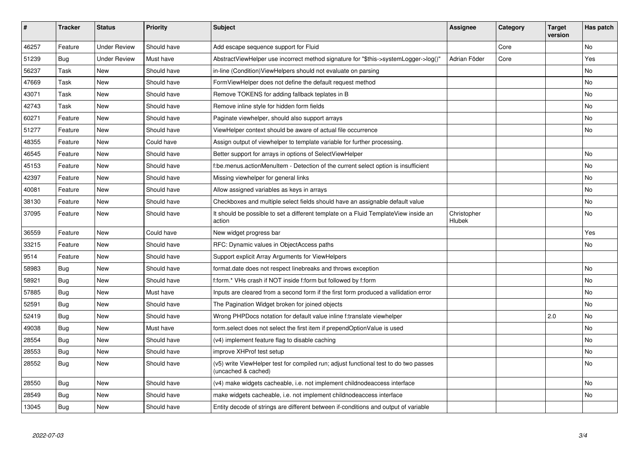| #     | <b>Tracker</b> | <b>Status</b>       | <b>Priority</b> | <b>Subject</b>                                                                                              | <b>Assignee</b>       | Category | <b>Target</b><br>version | Has patch |
|-------|----------------|---------------------|-----------------|-------------------------------------------------------------------------------------------------------------|-----------------------|----------|--------------------------|-----------|
| 46257 | Feature        | <b>Under Review</b> | Should have     | Add escape sequence support for Fluid                                                                       |                       | Core     |                          | <b>No</b> |
| 51239 | Bug            | <b>Under Review</b> | Must have       | AbstractViewHelper use incorrect method signature for "\$this->systemLogger->log()"                         | Adrian Föder          | Core     |                          | Yes       |
| 56237 | Task           | New                 | Should have     | in-line (Condition)ViewHelpers should not evaluate on parsing                                               |                       |          |                          | No        |
| 47669 | Task           | New                 | Should have     | FormViewHelper does not define the default request method                                                   |                       |          |                          | No        |
| 43071 | Task           | <b>New</b>          | Should have     | Remove TOKENS for adding fallback teplates in B                                                             |                       |          |                          | <b>No</b> |
| 42743 | Task           | New                 | Should have     | Remove inline style for hidden form fields                                                                  |                       |          |                          | No        |
| 60271 | Feature        | <b>New</b>          | Should have     | Paginate viewhelper, should also support arrays                                                             |                       |          |                          | No        |
| 51277 | Feature        | <b>New</b>          | Should have     | ViewHelper context should be aware of actual file occurrence                                                |                       |          |                          | No        |
| 48355 | Feature        | New                 | Could have      | Assign output of viewhelper to template variable for further processing.                                    |                       |          |                          |           |
| 46545 | Feature        | <b>New</b>          | Should have     | Better support for arrays in options of SelectViewHelper                                                    |                       |          |                          | No        |
| 45153 | Feature        | New                 | Should have     | f:be.menus.actionMenuItem - Detection of the current select option is insufficient                          |                       |          |                          | No        |
| 42397 | Feature        | New                 | Should have     | Missing viewhelper for general links                                                                        |                       |          |                          | No        |
| 40081 | Feature        | New                 | Should have     | Allow assigned variables as keys in arrays                                                                  |                       |          |                          | No        |
| 38130 | Feature        | New                 | Should have     | Checkboxes and multiple select fields should have an assignable default value                               |                       |          |                          | No        |
| 37095 | Feature        | <b>New</b>          | Should have     | It should be possible to set a different template on a Fluid TemplateView inside an<br>action               | Christopher<br>Hlubek |          |                          | No        |
| 36559 | Feature        | New                 | Could have      | New widget progress bar                                                                                     |                       |          |                          | Yes       |
| 33215 | Feature        | <b>New</b>          | Should have     | RFC: Dynamic values in ObjectAccess paths                                                                   |                       |          |                          | No        |
| 9514  | Feature        | <b>New</b>          | Should have     | Support explicit Array Arguments for ViewHelpers                                                            |                       |          |                          |           |
| 58983 | Bug            | New                 | Should have     | format.date does not respect linebreaks and throws exception                                                |                       |          |                          | No        |
| 58921 | <b>Bug</b>     | <b>New</b>          | Should have     | f:form.* VHs crash if NOT inside f:form but followed by f:form                                              |                       |          |                          | <b>No</b> |
| 57885 | Bug            | <b>New</b>          | Must have       | Inputs are cleared from a second form if the first form produced a vallidation error                        |                       |          |                          | No        |
| 52591 | Bug            | New                 | Should have     | The Pagination Widget broken for joined objects                                                             |                       |          |                          | No        |
| 52419 | <b>Bug</b>     | <b>New</b>          | Should have     | Wrong PHPDocs notation for default value inline f:translate viewhelper                                      |                       |          | 2.0                      | No        |
| 49038 | Bug            | New                 | Must have       | form.select does not select the first item if prependOptionValue is used                                    |                       |          |                          | No        |
| 28554 | Bug            | <b>New</b>          | Should have     | (v4) implement feature flag to disable caching                                                              |                       |          |                          | No        |
| 28553 | Bug            | New                 | Should have     | improve XHProf test setup                                                                                   |                       |          |                          | No        |
| 28552 | Bug            | New                 | Should have     | (v5) write ViewHelper test for compiled run; adjust functional test to do two passes<br>(uncached & cached) |                       |          |                          | No        |
| 28550 | Bug            | New                 | Should have     | (v4) make widgets cacheable, i.e. not implement childnodeaccess interface                                   |                       |          |                          | No        |
| 28549 | <b>Bug</b>     | New                 | Should have     | make widgets cacheable, i.e. not implement childnodeaccess interface                                        |                       |          |                          | No        |
| 13045 | Bug            | New                 | Should have     | Entity decode of strings are different between if-conditions and output of variable                         |                       |          |                          |           |